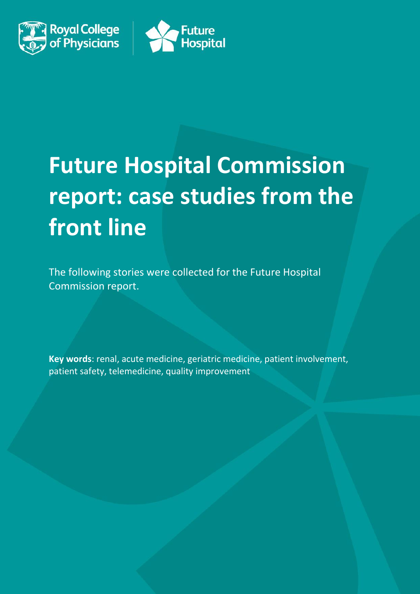



# **Future Hospital Commission report: case studies from the front line**

The following stories were collected for the Future Hospital Commission report.

**Key words**: renal, acute medicine, geriatric medicine, patient involvement, patient safety, telemedicine, quality improvement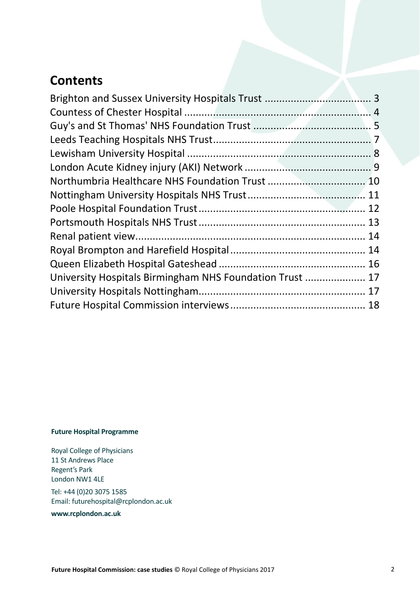# **Contents**

| University Hospitals Birmingham NHS Foundation Trust  17 |  |
|----------------------------------------------------------|--|
|                                                          |  |
|                                                          |  |
|                                                          |  |

#### **Future Hospital Programme**

Royal College of Physicians 11 St Andrews Place Regent's Park London NW1 4LE

Tel: +44 (0)20 3075 1585 Email: futurehospital@rcplondon.ac.uk

**www.rcplondon.ac.uk**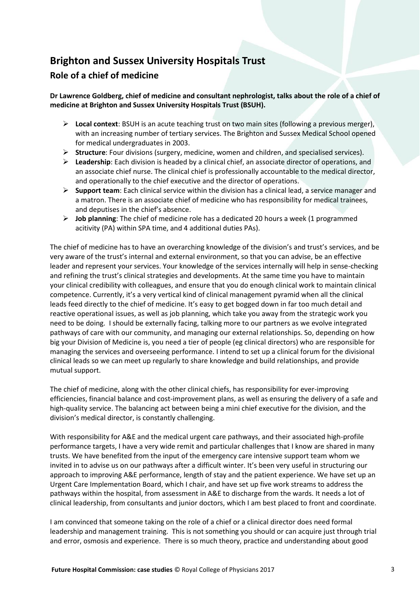# <span id="page-2-0"></span>**Brighton and Sussex University Hospitals Trust**

## **Role of a chief of medicine**

**Dr Lawrence Goldberg, chief of medicine and consultant nephrologist, talks about the role of a chief of medicine at Brighton and Sussex University Hospitals Trust (BSUH).** 

- **Local context**: BSUH is an acute teaching trust on two main sites (following a previous merger), with an increasing number of tertiary services. The Brighton and Sussex Medical School opened for medical undergraduates in 2003.
- **Structure**: Four divisions (surgery, medicine, women and children, and specialised services).
- **Leadership**: Each division is headed by a clinical chief, an associate director of operations, and an associate chief nurse. The clinical chief is professionally accountable to the medical director, and operationally to the chief executive and the director of operations.
- **Support team**: Each clinical service within the division has a clinical lead, a service manager and a matron. There is an associate chief of medicine who has responsibility for medical trainees, and deputises in the chief's absence.
- **Job planning**: The chief of medicine role has a dedicated 20 hours a week (1 programmed acitivity (PA) within SPA time, and 4 additional duties PAs).

The chief of medicine has to have an overarching knowledge of the division's and trust's services, and be very aware of the trust's internal and external environment, so that you can advise, be an effective leader and represent your services. Your knowledge of the services internally will help in sense-checking and refining the trust's clinical strategies and developments. At the same time you have to maintain your clinical credibility with colleagues, and ensure that you do enough clinical work to maintain clinical competence. Currently, it's a very vertical kind of clinical management pyramid when all the clinical leads feed directly to the chief of medicine. It's easy to get bogged down in far too much detail and reactive operational issues, as well as job planning, which take you away from the strategic work you need to be doing. I should be externally facing, talking more to our partners as we evolve integrated pathways of care with our community, and managing our external relationships. So, depending on how big your Division of Medicine is, you need a tier of people (eg clinical directors) who are responsible for managing the services and overseeing performance. I intend to set up a clinical forum for the divisional clinical leads so we can meet up regularly to share knowledge and build relationships, and provide mutual support.

The chief of medicine, along with the other clinical chiefs, has responsibility for ever-improving efficiencies, financial balance and cost-improvement plans, as well as ensuring the delivery of a safe and high-quality service. The balancing act between being a mini chief executive for the division, and the division's medical director, is constantly challenging.

With responsibility for A&E and the medical urgent care pathways, and their associated high-profile performance targets, I have a very wide remit and particular challenges that I know are shared in many trusts. We have benefited from the input of the emergency care intensive support team whom we invited in to advise us on our pathways after a difficult winter. It's been very useful in structuring our approach to improving A&E performance, length of stay and the patient experience. We have set up an Urgent Care Implementation Board, which I chair, and have set up five work streams to address the pathways within the hospital, from assessment in A&E to discharge from the wards. It needs a lot of clinical leadership, from consultants and junior doctors, which I am best placed to front and coordinate.

I am convinced that someone taking on the role of a chief or a clinical director does need formal leadership and management training. This is not something you should or can acquire just through trial and error, osmosis and experience. There is so much theory, practice and understanding about good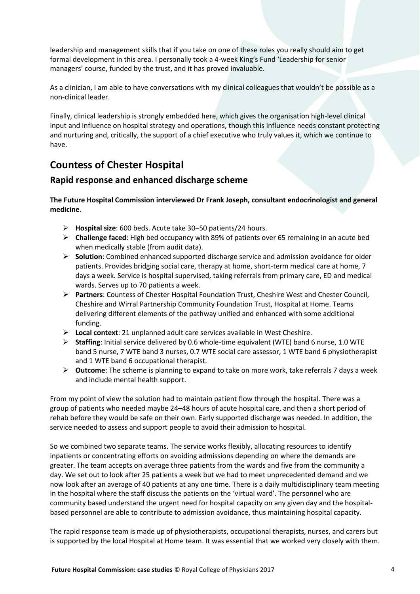leadership and management skills that if you take on one of these roles you really should aim to get formal development in this area. I personally took a 4-week King's Fund 'Leadership for senior managers' course, funded by the trust, and it has proved invaluable.

As a clinician, I am able to have conversations with my clinical colleagues that wouldn't be possible as a non-clinical leader.

Finally, clinical leadership is strongly embedded here, which gives the organisation high-level clinical input and influence on hospital strategy and operations, though this influence needs constant protecting and nurturing and, critically, the support of a chief executive who truly values it, which we continue to have.

# <span id="page-3-0"></span>**Countess of Chester Hospital**

## **Rapid response and enhanced discharge scheme**

**The Future Hospital Commission interviewed Dr Frank Joseph, consultant endocrinologist and general medicine.**

- **Hospital size**: 600 beds. Acute take 30–50 patients/24 hours.
- **Challenge faced**: High bed occupancy with 89% of patients over 65 remaining in an acute bed when medically stable (from audit data).
- **Solution**: Combined enhanced supported discharge service and admission avoidance for older patients. Provides bridging social care, therapy at home, short-term medical care at home, 7 days a week. Service is hospital supervised, taking referrals from primary care, ED and medical wards. Serves up to 70 patients a week.
- **Partners**: Countess of Chester Hospital Foundation Trust, Cheshire West and Chester Council, Cheshire and Wirral Partnership Community Foundation Trust, Hospital at Home. Teams delivering different elements of the pathway unified and enhanced with some additional funding.
- **Local context**: 21 unplanned adult care services available in West Cheshire.
- **Staffing**: Initial service delivered by 0.6 whole-time equivalent (WTE) band 6 nurse, 1.0 WTE band 5 nurse, 7 WTE band 3 nurses, 0.7 WTE social care assessor, 1 WTE band 6 physiotherapist and 1 WTE band 6 occupational therapist.
- **Outcome**: The scheme is planning to expand to take on more work, take referrals 7 days a week and include mental health support.

From my point of view the solution had to maintain patient flow through the hospital. There was a group of patients who needed maybe 24–48 hours of acute hospital care, and then a short period of rehab before they would be safe on their own. Early supported discharge was needed. In addition, the service needed to assess and support people to avoid their admission to hospital.

So we combined two separate teams. The service works flexibly, allocating resources to identify inpatients or concentrating efforts on avoiding admissions depending on where the demands are greater. The team accepts on average three patients from the wards and five from the community a day. We set out to look after 25 patients a week but we had to meet unprecedented demand and we now look after an average of 40 patients at any one time. There is a daily multidisciplinary team meeting in the hospital where the staff discuss the patients on the 'virtual ward'. The personnel who are community based understand the urgent need for hospital capacity on any given day and the hospitalbased personnel are able to contribute to admission avoidance, thus maintaining hospital capacity.

The rapid response team is made up of physiotherapists, occupational therapists, nurses, and carers but is supported by the local Hospital at Home team. It was essential that we worked very closely with them.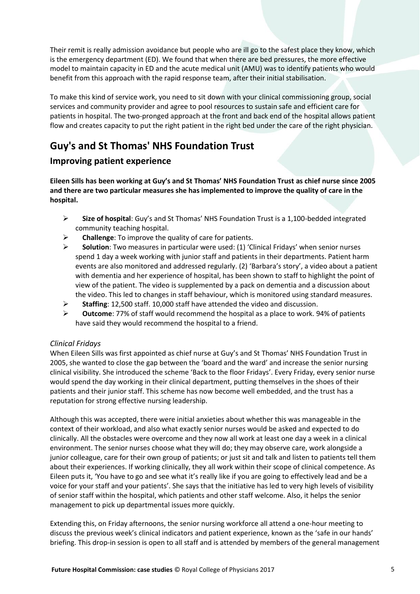Their remit is really admission avoidance but people who are ill go to the safest place they know, which is the emergency department (ED). We found that when there are bed pressures, the more effective model to maintain capacity in ED and the acute medical unit (AMU) was to identify patients who would benefit from this approach with the rapid response team, after their initial stabilisation.

To make this kind of service work, you need to sit down with your clinical commissioning group, social services and community provider and agree to pool resources to sustain safe and efficient care for patients in hospital. The two-pronged approach at the front and back end of the hospital allows patient flow and creates capacity to put the right patient in the right bed under the care of the right physician.

# <span id="page-4-0"></span>**Guy's and St Thomas' NHS Foundation Trust**

## **Improving patient experience**

**Eileen Sills has been working at Guy's and St Thomas' NHS Foundation Trust as chief nurse since 2005 and there are two particular measures she has implemented to improve the quality of care in the hospital.**

- **Size of hospital**: Guy's and St Thomas' NHS Foundation Trust is a 1,100-bedded integrated community teaching hospital.
- **Challenge**: To improve the quality of care for patients.
- **Solution**: Two measures in particular were used: (1) 'Clinical Fridays' when senior nurses spend 1 day a week working with junior staff and patients in their departments. Patient harm events are also monitored and addressed regularly. (2) 'Barbara's story', a video about a patient with dementia and her experience of hospital, has been shown to staff to highlight the point of view of the patient. The video is supplemented by a pack on dementia and a discussion about the video. This led to changes in staff behaviour, which is monitored using standard measures.
- **Staffing**: 12,500 staff. 10,000 staff have attended the video and discussion.
- **Outcome**: 77% of staff would recommend the hospital as a place to work. 94% of patients have said they would recommend the hospital to a friend.

## *Clinical Fridays*

When Eileen Sills was first appointed as chief nurse at Guy's and St Thomas' NHS Foundation Trust in 2005, she wanted to close the gap between the 'board and the ward' and increase the senior nursing clinical visibility. She introduced the scheme 'Back to the floor Fridays'. Every Friday, every senior nurse would spend the day working in their clinical department, putting themselves in the shoes of their patients and their junior staff. This scheme has now become well embedded, and the trust has a reputation for strong effective nursing leadership.

Although this was accepted, there were initial anxieties about whether this was manageable in the context of their workload, and also what exactly senior nurses would be asked and expected to do clinically. All the obstacles were overcome and they now all work at least one day a week in a clinical environment. The senior nurses choose what they will do; they may observe care, work alongside a junior colleague, care for their own group of patients; or just sit and talk and listen to patients tell them about their experiences. If working clinically, they all work within their scope of clinical competence. As Eileen puts it, 'You have to go and see what it's really like if you are going to effectively lead and be a voice for your staff and your patients'. She says that the initiative has led to very high levels of visibility of senior staff within the hospital, which patients and other staff welcome. Also, it helps the senior management to pick up departmental issues more quickly.

Extending this, on Friday afternoons, the senior nursing workforce all attend a one-hour meeting to discuss the previous week's clinical indicators and patient experience, known as the 'safe in our hands' briefing. This drop-in session is open to all staff and is attended by members of the general management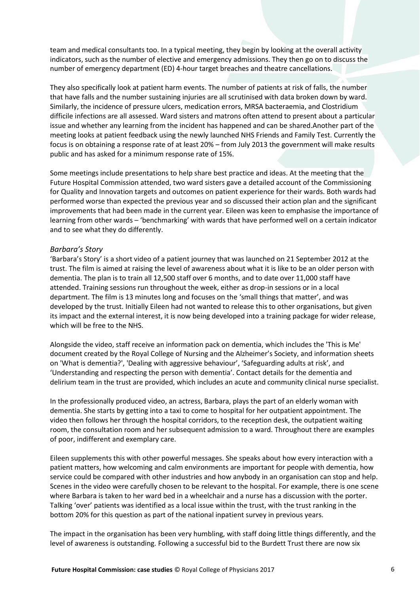team and medical consultants too. In a typical meeting, they begin by looking at the overall activity indicators, such as the number of elective and emergency admissions. They then go on to discuss the number of emergency department (ED) 4-hour target breaches and theatre cancellations.

They also specifically look at patient harm events. The number of patients at risk of falls, the number that have falls and the number sustaining injuries are all scrutinised with data broken down by ward. Similarly, the incidence of pressure ulcers, medication errors, MRSA bacteraemia, and Clostridium difficile infections are all assessed. Ward sisters and matrons often attend to present about a particular issue and whether any learning from the incident has happened and can be shared.Another part of the meeting looks at patient feedback using the newly launched NHS Friends and Family Test. Currently the focus is on obtaining a response rate of at least 20% – from July 2013 the government will make results public and has asked for a minimum response rate of 15%.

Some meetings include presentations to help share best practice and ideas. At the meeting that the Future Hospital Commission attended, two ward sisters gave a detailed account of the Commissioning for Quality and Innovation targets and outcomes on patient experience for their wards. Both wards had performed worse than expected the previous year and so discussed their action plan and the significant improvements that had been made in the current year. Eileen was keen to emphasise the importance of learning from other wards – 'benchmarking' with wards that have performed well on a certain indicator and to see what they do differently.

#### *Barbara's Story*

'Barbara's Story' is a short video of a patient journey that was launched on 21 September 2012 at the trust. The film is aimed at raising the level of awareness about what it is like to be an older person with dementia. The plan is to train all 12,500 staff over 6 months, and to date over 11,000 staff have attended. Training sessions run throughout the week, either as drop-in sessions or in a local department. The film is 13 minutes long and focuses on the 'small things that matter', and was developed by the trust. Initially Eileen had not wanted to release this to other organisations, but given its impact and the external interest, it is now being developed into a training package for wider release, which will be free to the NHS.

Alongside the video, staff receive an information pack on dementia, which includes the 'This is Me' document created by the Royal College of Nursing and the Alzheimer's Society, and information sheets on 'What is dementia?', 'Dealing with aggressive behaviour', 'Safeguarding adults at risk', and 'Understanding and respecting the person with dementia'. Contact details for the dementia and delirium team in the trust are provided, which includes an acute and community clinical nurse specialist.

In the professionally produced video, an actress, Barbara, plays the part of an elderly woman with dementia. She starts by getting into a taxi to come to hospital for her outpatient appointment. The video then follows her through the hospital corridors, to the reception desk, the outpatient waiting room, the consultation room and her subsequent admission to a ward. Throughout there are examples of poor, indifferent and exemplary care.

Eileen supplements this with other powerful messages. She speaks about how every interaction with a patient matters, how welcoming and calm environments are important for people with dementia, how service could be compared with other industries and how anybody in an organisation can stop and help. Scenes in the video were carefully chosen to be relevant to the hospital. For example, there is one scene where Barbara is taken to her ward bed in a wheelchair and a nurse has a discussion with the porter. Talking 'over' patients was identified as a local issue within the trust, with the trust ranking in the bottom 20% for this question as part of the national inpatient survey in previous years.

The impact in the organisation has been very humbling, with staff doing little things differently, and the level of awareness is outstanding. Following a successful bid to the Burdett Trust there are now six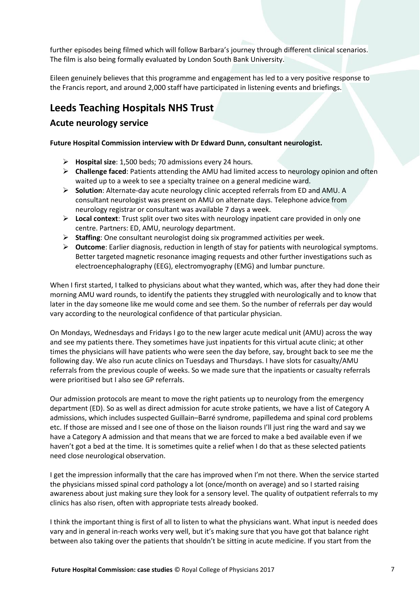further episodes being filmed which will follow Barbara's journey through different clinical scenarios. The film is also being formally evaluated by London South Bank University.

Eileen genuinely believes that this programme and engagement has led to a very positive response to the Francis report, and around 2,000 staff have participated in listening events and briefings.

# <span id="page-6-0"></span>**Leeds Teaching Hospitals NHS Trust**

## **Acute neurology service**

#### **Future Hospital Commission interview with Dr Edward Dunn, consultant neurologist.**

- **Hospital size**: 1,500 beds; 70 admissions every 24 hours.
- **Challenge faced**: Patients attending the AMU had limited access to neurology opinion and often waited up to a week to see a specialty trainee on a general medicine ward.
- **Solution**: Alternate-day acute neurology clinic accepted referrals from ED and AMU. A consultant neurologist was present on AMU on alternate days. Telephone advice from neurology registrar or consultant was available 7 days a week.
- **Local context**: Trust split over two sites with neurology inpatient care provided in only one centre. Partners: ED, AMU, neurology department.
- **Staffing**: One consultant neurologist doing six programmed activities per week.
- **Outcome**: Earlier diagnosis, reduction in length of stay for patients with neurological symptoms. Better targeted magnetic resonance imaging requests and other further investigations such as electroencephalography (EEG), electromyography (EMG) and lumbar puncture.

When I first started, I talked to physicians about what they wanted, which was, after they had done their morning AMU ward rounds, to identify the patients they struggled with neurologically and to know that later in the day someone like me would come and see them. So the number of referrals per day would vary according to the neurological confidence of that particular physician.

On Mondays, Wednesdays and Fridays I go to the new larger acute medical unit (AMU) across the way and see my patients there. They sometimes have just inpatients for this virtual acute clinic; at other times the physicians will have patients who were seen the day before, say, brought back to see me the following day. We also run acute clinics on Tuesdays and Thursdays. I have slots for casualty/AMU referrals from the previous couple of weeks. So we made sure that the inpatients or casualty referrals were prioritised but I also see GP referrals.

Our admission protocols are meant to move the right patients up to neurology from the emergency department (ED). So as well as direct admission for acute stroke patients, we have a list of Category A admissions, which includes suspected Guillain–Barré syndrome, papilledema and spinal cord problems etc. If those are missed and I see one of those on the liaison rounds I'll just ring the ward and say we have a Category A admission and that means that we are forced to make a bed available even if we haven't got a bed at the time. It is sometimes quite a relief when I do that as these selected patients need close neurological observation.

I get the impression informally that the care has improved when I'm not there. When the service started the physicians missed spinal cord pathology a lot (once/month on average) and so I started raising awareness about just making sure they look for a sensory level. The quality of outpatient referrals to my clinics has also risen, often with appropriate tests already booked.

I think the important thing is first of all to listen to what the physicians want. What input is needed does vary and in general in-reach works very well, but it's making sure that you have got that balance right between also taking over the patients that shouldn't be sitting in acute medicine. If you start from the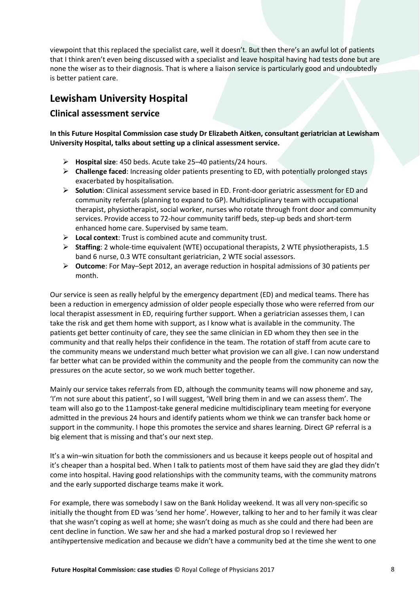viewpoint that this replaced the specialist care, well it doesn't. But then there's an awful lot of patients that I think aren't even being discussed with a specialist and leave hospital having had tests done but are none the wiser as to their diagnosis. That is where a liaison service is particularly good and undoubtedly is better patient care.

## <span id="page-7-0"></span>**Lewisham University Hospital**

## **Clinical assessment service**

**In this Future Hospital Commission case study Dr Elizabeth Aitken, consultant geriatrician at Lewisham University Hospital, talks about setting up a clinical assessment service.**

- **Hospital size**: 450 beds. Acute take 25–40 patients/24 hours.
- **Challenge faced**: Increasing older patients presenting to ED, with potentially prolonged stays exacerbated by hospitalisation.
- **Solution**: Clinical assessment service based in ED. Front-door geriatric assessment for ED and community referrals (planning to expand to GP). Multidisciplinary team with occupational therapist, physiotherapist, social worker, nurses who rotate through front door and community services. Provide access to 72-hour community tariff beds, step-up beds and short-term enhanced home care. Supervised by same team.
- **Local context**: Trust is combined acute and community trust.
- **Staffing**: 2 whole-time equivalent (WTE) occupational therapists, 2 WTE physiotherapists, 1.5 band 6 nurse, 0.3 WTE consultant geriatrician, 2 WTE social assessors.
- **Outcome**: For May–Sept 2012, an average reduction in hospital admissions of 30 patients per month.

Our service is seen as really helpful by the emergency department (ED) and medical teams. There has been a reduction in emergency admission of older people especially those who were referred from our local therapist assessment in ED, requiring further support. When a geriatrician assesses them, I can take the risk and get them home with support, as I know what is available in the community. The patients get better continuity of care, they see the same clinician in ED whom they then see in the community and that really helps their confidence in the team. The rotation of staff from acute care to the community means we understand much better what provision we can all give. I can now understand far better what can be provided within the community and the people from the community can now the pressures on the acute sector, so we work much better together.

Mainly our service takes referrals from ED, although the community teams will now phoneme and say, 'I'm not sure about this patient', so I will suggest, 'Well bring them in and we can assess them'. The team will also go to the 11ampost-take general medicine multidisciplinary team meeting for everyone admitted in the previous 24 hours and identify patients whom we think we can transfer back home or support in the community. I hope this promotes the service and shares learning. Direct GP referral is a big element that is missing and that's our next step.

It's a win–win situation for both the commissioners and us because it keeps people out of hospital and it's cheaper than a hospital bed. When I talk to patients most of them have said they are glad they didn't come into hospital. Having good relationships with the community teams, with the community matrons and the early supported discharge teams make it work.

For example, there was somebody I saw on the Bank Holiday weekend. It was all very non-specific so initially the thought from ED was 'send her home'. However, talking to her and to her family it was clear that she wasn't coping as well at home; she wasn't doing as much as she could and there had been are cent decline in function. We saw her and she had a marked postural drop so I reviewed her antihypertensive medication and because we didn't have a community bed at the time she went to one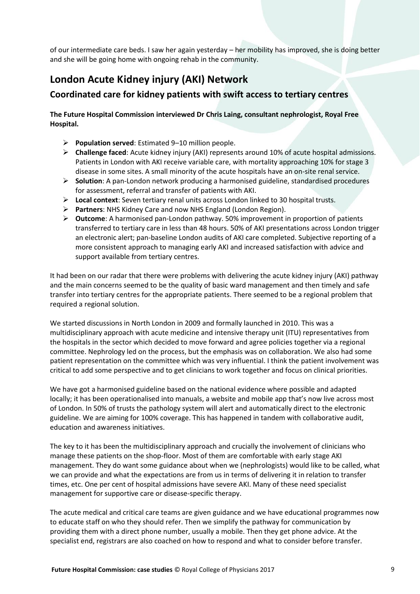of our intermediate care beds. I saw her again yesterday – her mobility has improved, she is doing better and she will be going home with ongoing rehab in the community.

# <span id="page-8-0"></span>**London Acute Kidney injury (AKI) Network**

## **Coordinated care for kidney patients with swift access to tertiary centres**

#### **The Future Hospital Commission interviewed Dr Chris Laing, consultant nephrologist, Royal Free Hospital.**

- **Population served**: Estimated 9–10 million people.
- **Challenge faced**: Acute kidney injury (AKI) represents around 10% of acute hospital admissions. Patients in London with AKI receive variable care, with mortality approaching 10% for stage 3 disease in some sites. A small minority of the acute hospitals have an on-site renal service.
- **Solution**: A pan-London network producing a harmonised guideline, standardised procedures for assessment, referral and transfer of patients with AKI.
- **Local context**: Seven tertiary renal units across London linked to 30 hospital trusts.
- **Partners**: NHS Kidney Care and now NHS England (London Region).
- **Outcome**: A harmonised pan-London pathway. 50% improvement in proportion of patients transferred to tertiary care in less than 48 hours. 50% of AKI presentations across London trigger an electronic alert; pan-baseline London audits of AKI care completed. Subjective reporting of a more consistent approach to managing early AKI and increased satisfaction with advice and support available from tertiary centres.

It had been on our radar that there were problems with delivering the acute kidney injury (AKI) pathway and the main concerns seemed to be the quality of basic ward management and then timely and safe transfer into tertiary centres for the appropriate patients. There seemed to be a regional problem that required a regional solution.

We started discussions in North London in 2009 and formally launched in 2010. This was a multidisciplinary approach with acute medicine and intensive therapy unit (ITU) representatives from the hospitals in the sector which decided to move forward and agree policies together via a regional committee. Nephrology led on the process, but the emphasis was on collaboration. We also had some patient representation on the committee which was very influential. I think the patient involvement was critical to add some perspective and to get clinicians to work together and focus on clinical priorities.

We have got a harmonised guideline based on the national evidence where possible and adapted locally; it has been operationalised into manuals, a website and mobile app that's now live across most of London. In 50% of trusts the pathology system will alert and automatically direct to the electronic guideline. We are aiming for 100% coverage. This has happened in tandem with collaborative audit, education and awareness initiatives.

The key to it has been the multidisciplinary approach and crucially the involvement of clinicians who manage these patients on the shop-floor. Most of them are comfortable with early stage AKI management. They do want some guidance about when we (nephrologists) would like to be called, what we can provide and what the expectations are from us in terms of delivering it in relation to transfer times, etc. One per cent of hospital admissions have severe AKI. Many of these need specialist management for supportive care or disease-specific therapy.

The acute medical and critical care teams are given guidance and we have educational programmes now to educate staff on who they should refer. Then we simplify the pathway for communication by providing them with a direct phone number, usually a mobile. Then they get phone advice. At the specialist end, registrars are also coached on how to respond and what to consider before transfer.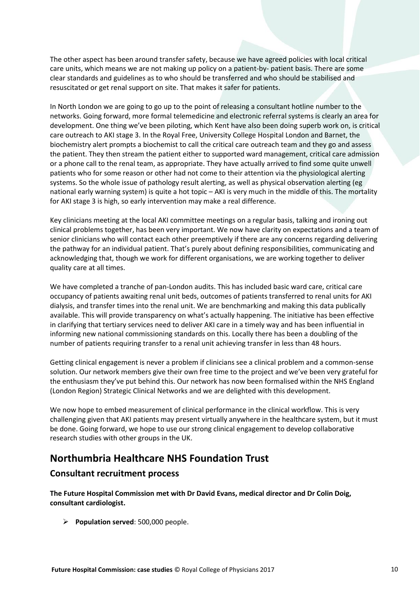The other aspect has been around transfer safety, because we have agreed policies with local critical care units, which means we are not making up policy on a patient-by- patient basis. There are some clear standards and guidelines as to who should be transferred and who should be stabilised and resuscitated or get renal support on site. That makes it safer for patients.

In North London we are going to go up to the point of releasing a consultant hotline number to the networks. Going forward, more formal telemedicine and electronic referral systems is clearly an area for development. One thing we've been piloting, which Kent have also been doing superb work on, is critical care outreach to AKI stage 3. In the Royal Free, University College Hospital London and Barnet, the biochemistry alert prompts a biochemist to call the critical care outreach team and they go and assess the patient. They then stream the patient either to supported ward management, critical care admission or a phone call to the renal team, as appropriate. They have actually arrived to find some quite unwell patients who for some reason or other had not come to their attention via the physiological alerting systems. So the whole issue of pathology result alerting, as well as physical observation alerting (eg national early warning system) is quite a hot topic – AKI is very much in the middle of this. The mortality for AKI stage 3 is high, so early intervention may make a real difference.

Key clinicians meeting at the local AKI committee meetings on a regular basis, talking and ironing out clinical problems together, has been very important. We now have clarity on expectations and a team of senior clinicians who will contact each other preemptively if there are any concerns regarding delivering the pathway for an individual patient. That's purely about defining responsibilities, communicating and acknowledging that, though we work for different organisations, we are working together to deliver quality care at all times.

We have completed a tranche of pan-London audits. This has included basic ward care, critical care occupancy of patients awaiting renal unit beds, outcomes of patients transferred to renal units for AKI dialysis, and transfer times into the renal unit. We are benchmarking and making this data publically available. This will provide transparency on what's actually happening. The initiative has been effective in clarifying that tertiary services need to deliver AKI care in a timely way and has been influential in informing new national commissioning standards on this. Locally there has been a doubling of the number of patients requiring transfer to a renal unit achieving transfer in less than 48 hours.

Getting clinical engagement is never a problem if clinicians see a clinical problem and a common-sense solution. Our network members give their own free time to the project and we've been very grateful for the enthusiasm they've put behind this. Our network has now been formalised within the NHS England (London Region) Strategic Clinical Networks and we are delighted with this development.

We now hope to embed measurement of clinical performance in the clinical workflow. This is very challenging given that AKI patients may present virtually anywhere in the healthcare system, but it must be done. Going forward, we hope to use our strong clinical engagement to develop collaborative research studies with other groups in the UK.

# <span id="page-9-0"></span>**Northumbria Healthcare NHS Foundation Trust**

## **Consultant recruitment process**

**The Future Hospital Commission met with Dr David Evans, medical director and Dr Colin Doig, consultant cardiologist.**

**Population served**: 500,000 people.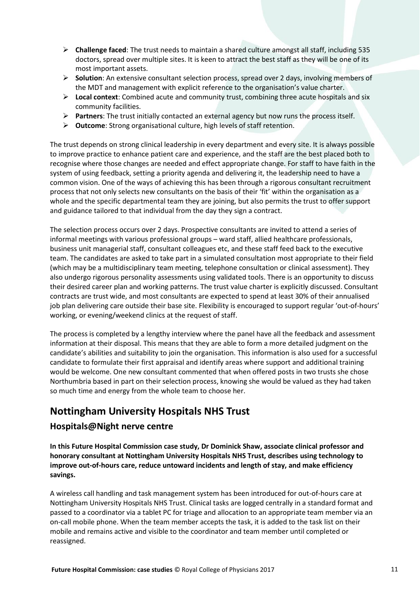- **Challenge faced**: The trust needs to maintain a shared culture amongst all staff, including 535 doctors, spread over multiple sites. It is keen to attract the best staff as they will be one of its most important assets.
- **Solution**: An extensive consultant selection process, spread over 2 days, involving members of the MDT and management with explicit reference to the organisation's value charter.
- **Local context**: Combined acute and community trust, combining three acute hospitals and six community facilities.
- **Partners**: The trust initially contacted an external agency but now runs the process itself.
- **Outcome**: Strong organisational culture, high levels of staff retention.

The trust depends on strong clinical leadership in every department and every site. It is always possible to improve practice to enhance patient care and experience, and the staff are the best placed both to recognise where those changes are needed and effect appropriate change. For staff to have faith in the system of using feedback, setting a priority agenda and delivering it, the leadership need to have a common vision. One of the ways of achieving this has been through a rigorous consultant recruitment process that not only selects new consultants on the basis of their 'fit' within the organisation as a whole and the specific departmental team they are joining, but also permits the trust to offer support and guidance tailored to that individual from the day they sign a contract.

The selection process occurs over 2 days. Prospective consultants are invited to attend a series of informal meetings with various professional groups – ward staff, allied healthcare professionals, business unit managerial staff, consultant colleagues etc, and these staff feed back to the executive team. The candidates are asked to take part in a simulated consultation most appropriate to their field (which may be a multidisciplinary team meeting, telephone consultation or clinical assessment). They also undergo rigorous personality assessments using validated tools. There is an opportunity to discuss their desired career plan and working patterns. The trust value charter is explicitly discussed. Consultant contracts are trust wide, and most consultants are expected to spend at least 30% of their annualised job plan delivering care outside their base site. Flexibility is encouraged to support regular 'out-of-hours' working, or evening/weekend clinics at the request of staff.

The process is completed by a lengthy interview where the panel have all the feedback and assessment information at their disposal. This means that they are able to form a more detailed judgment on the candidate's abilities and suitability to join the organisation. This information is also used for a successful candidate to formulate their first appraisal and identify areas where support and additional training would be welcome. One new consultant commented that when offered posts in two trusts she chose Northumbria based in part on their selection process, knowing she would be valued as they had taken so much time and energy from the whole team to choose her.

# <span id="page-10-0"></span>**Nottingham University Hospitals NHS Trust**

## **Hospitals@Night nerve centre**

**In this Future Hospital Commission case study, Dr Dominick Shaw, associate clinical professor and honorary consultant at Nottingham University Hospitals NHS Trust, describes using technology to improve out-of-hours care, reduce untoward incidents and length of stay, and make efficiency savings.**

A wireless call handling and task management system has been introduced for out-of-hours care at Nottingham University Hospitals NHS Trust. Clinical tasks are logged centrally in a standard format and passed to a coordinator via a tablet PC for triage and allocation to an appropriate team member via an on-call mobile phone. When the team member accepts the task, it is added to the task list on their mobile and remains active and visible to the coordinator and team member until completed or reassigned.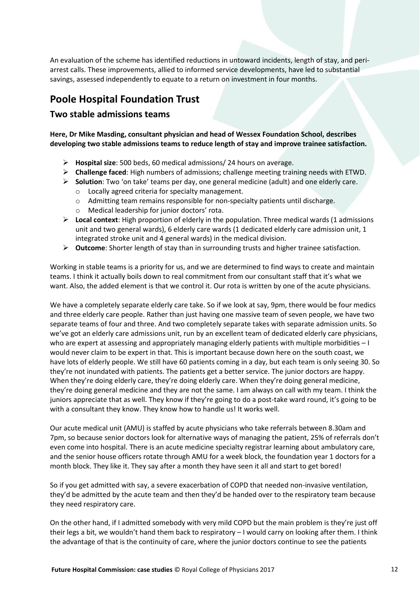An evaluation of the scheme has identified reductions in untoward incidents, length of stay, and periarrest calls. These improvements, allied to informed service developments, have led to substantial savings, assessed independently to equate to a return on investment in four months.

## <span id="page-11-0"></span>**Poole Hospital Foundation Trust**

#### **Two stable admissions teams**

**Here, Dr Mike Masding, consultant physician and head of Wessex Foundation School, describes developing two stable admissions teams to reduce length of stay and improve trainee satisfaction.**

- **Hospital size**: 500 beds, 60 medical admissions/ 24 hours on average.
- **Challenge faced**: High numbers of admissions; challenge meeting training needs with ETWD.
- **Solution**: Two 'on take' teams per day, one general medicine (adult) and one elderly care.
	- o Locally agreed criteria for specialty management.
	- o Admitting team remains responsible for non-specialty patients until discharge.
	- o Medical leadership for junior doctors' rota.
- $\triangleright$  Local context: High proportion of elderly in the population. Three medical wards (1 admissions unit and two general wards), 6 elderly care wards (1 dedicated elderly care admission unit, 1 integrated stroke unit and 4 general wards) in the medical division.
- **Outcome**: Shorter length of stay than in surrounding trusts and higher trainee satisfaction.

Working in stable teams is a priority for us, and we are determined to find ways to create and maintain teams. I think it actually boils down to real commitment from our consultant staff that it's what we want. Also, the added element is that we control it. Our rota is written by one of the acute physicians.

We have a completely separate elderly care take. So if we look at say, 9pm, there would be four medics and three elderly care people. Rather than just having one massive team of seven people, we have two separate teams of four and three. And two completely separate takes with separate admission units. So we've got an elderly care admissions unit, run by an excellent team of dedicated elderly care physicians, who are expert at assessing and appropriately managing elderly patients with multiple morbidities – I would never claim to be expert in that. This is important because down here on the south coast, we have lots of elderly people. We still have 60 patients coming in a day, but each team is only seeing 30. So they're not inundated with patients. The patients get a better service. The junior doctors are happy. When they're doing elderly care, they're doing elderly care. When they're doing general medicine, they're doing general medicine and they are not the same. I am always on call with my team. I think the juniors appreciate that as well. They know if they're going to do a post-take ward round, it's going to be with a consultant they know. They know how to handle us! It works well.

Our acute medical unit (AMU) is staffed by acute physicians who take referrals between 8.30am and 7pm, so because senior doctors look for alternative ways of managing the patient, 25% of referrals don't even come into hospital. There is an acute medicine specialty registrar learning about ambulatory care, and the senior house officers rotate through AMU for a week block, the foundation year 1 doctors for a month block. They like it. They say after a month they have seen it all and start to get bored!

So if you get admitted with say, a severe exacerbation of COPD that needed non-invasive ventilation, they'd be admitted by the acute team and then they'd be handed over to the respiratory team because they need respiratory care.

On the other hand, if I admitted somebody with very mild COPD but the main problem is they're just off their legs a bit, we wouldn't hand them back to respiratory – I would carry on looking after them. I think the advantage of that is the continuity of care, where the junior doctors continue to see the patients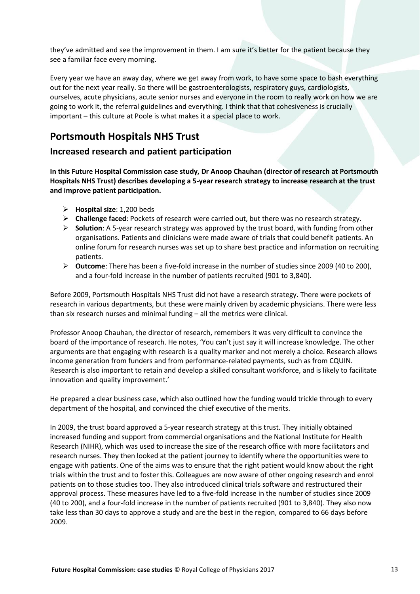they've admitted and see the improvement in them. I am sure it's better for the patient because they see a familiar face every morning.

Every year we have an away day, where we get away from work, to have some space to bash everything out for the next year really. So there will be gastroenterologists, respiratory guys, cardiologists, ourselves, acute physicians, acute senior nurses and everyone in the room to really work on how we are going to work it, the referral guidelines and everything. I think that that cohesiveness is crucially important – this culture at Poole is what makes it a special place to work.

# <span id="page-12-0"></span>**Portsmouth Hospitals NHS Trust**

## **Increased research and patient participation**

**In this Future Hospital Commission case study, Dr Anoop Chauhan (director of research at Portsmouth Hospitals NHS Trust) describes developing a 5-year research strategy to increase research at the trust and improve patient participation.**

- **Hospital size**: 1,200 beds
- **Challenge faced**: Pockets of research were carried out, but there was no research strategy.
- **Solution**: A 5-year research strategy was approved by the trust board, with funding from other organisations. Patients and clinicians were made aware of trials that could benefit patients. An online forum for research nurses was set up to share best practice and information on recruiting patients.
- **Outcome**: There has been a five-fold increase in the number of studies since 2009 (40 to 200), and a four-fold increase in the number of patients recruited (901 to 3,840).

Before 2009, Portsmouth Hospitals NHS Trust did not have a research strategy. There were pockets of research in various departments, but these were mainly driven by academic physicians. There were less than six research nurses and minimal funding – all the metrics were clinical.

Professor Anoop Chauhan, the director of research, remembers it was very difficult to convince the board of the importance of research. He notes, 'You can't just say it will increase knowledge. The other arguments are that engaging with research is a quality marker and not merely a choice. Research allows income generation from funders and from performance-related payments, such as from CQUIN. Research is also important to retain and develop a skilled consultant workforce, and is likely to facilitate innovation and quality improvement.'

He prepared a clear business case, which also outlined how the funding would trickle through to every department of the hospital, and convinced the chief executive of the merits.

In 2009, the trust board approved a 5-year research strategy at this trust. They initially obtained increased funding and support from commercial organisations and the National Institute for Health Research (NIHR), which was used to increase the size of the research office with more facilitators and research nurses. They then looked at the patient journey to identify where the opportunities were to engage with patients. One of the aims was to ensure that the right patient would know about the right trials within the trust and to foster this. Colleagues are now aware of other ongoing research and enrol patients on to those studies too. They also introduced clinical trials software and restructured their approval process. These measures have led to a five-fold increase in the number of studies since 2009 (40 to 200), and a four-fold increase in the number of patients recruited (901 to 3,840). They also now take less than 30 days to approve a study and are the best in the region, compared to 66 days before 2009.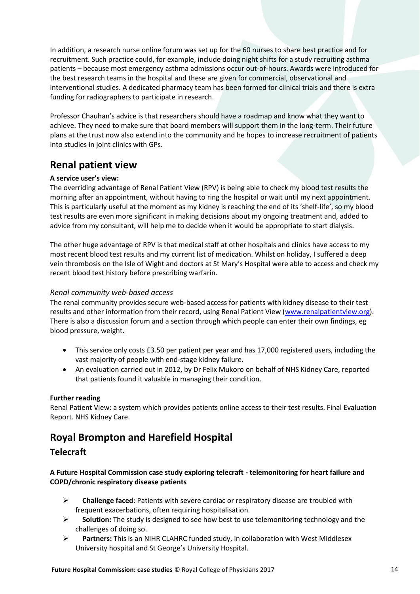In addition, a research nurse online forum was set up for the 60 nurses to share best practice and for recruitment. Such practice could, for example, include doing night shifts for a study recruiting asthma patients – because most emergency asthma admissions occur out-of-hours. Awards were introduced for the best research teams in the hospital and these are given for commercial, observational and interventional studies. A dedicated pharmacy team has been formed for clinical trials and there is extra funding for radiographers to participate in research.

Professor Chauhan's advice is that researchers should have a roadmap and know what they want to achieve. They need to make sure that board members will support them in the long-term. Their future plans at the trust now also extend into the community and he hopes to increase recruitment of patients into studies in joint clinics with GPs.

# <span id="page-13-0"></span>**Renal patient view**

#### **A service user's view:**

The overriding advantage of Renal Patient View (RPV) is being able to check my blood test results the morning after an appointment, without having to ring the hospital or wait until my next appointment. This is particularly useful at the moment as my kidney is reaching the end of its 'shelf-life', so my blood test results are even more significant in making decisions about my ongoing treatment and, added to advice from my consultant, will help me to decide when it would be appropriate to start dialysis.

The other huge advantage of RPV is that medical staff at other hospitals and clinics have access to my most recent blood test results and my current list of medication. Whilst on holiday, I suffered a deep vein thrombosis on the Isle of Wight and doctors at St Mary's Hospital were able to access and check my recent blood test history before prescribing warfarin.

#### *Renal community web-based access*

The renal community provides secure web-based access for patients with kidney disease to their test results and other information from their record, using Renal Patient View [\(www.renalpatientview.org\)](http://www.renalpatientview.org/). There is also a discussion forum and a section through which people can enter their own findings, eg blood pressure, weight.

- This service only costs £3.50 per patient per year and has 17,000 registered users, including the vast majority of people with end-stage kidney failure.
- An evaluation carried out in 2012, by Dr Felix Mukoro on behalf of NHS Kidney Care, reported that patients found it valuable in managing their condition.

#### **Further reading**

Renal Patient View: a system which provides patients online access to their test results. Final Evaluation Report. NHS Kidney Care.

# <span id="page-13-1"></span>**Royal Brompton and Harefield Hospital**

## **Telecraft**

#### **A Future Hospital Commission case study exploring telecraft - telemonitoring for heart failure and COPD/chronic respiratory disease patients**

- **Challenge faced**: Patients with severe cardiac or respiratory disease are troubled with frequent exacerbations, often requiring hospitalisation.
- **Solution:** The study is designed to see how best to use telemonitoring technology and the challenges of doing so.
- **Partners:** This is an NIHR CLAHRC funded study, in collaboration with West Middlesex University hospital and St George's University Hospital.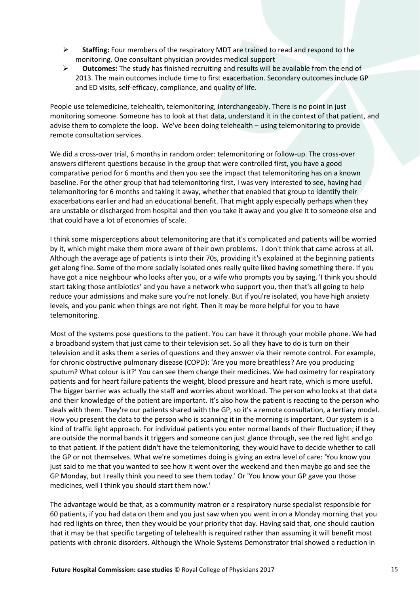- **Staffing:** Four members of the respiratory MDT are trained to read and respond to the monitoring. One consultant physician provides medical support
- **Outcomes:** The study has finished recruiting and results will be available from the end of 2013. The main outcomes include time to first exacerbation. Secondary outcomes include GP and ED visits, self-efficacy, compliance, and quality of life.

People use telemedicine, telehealth, telemonitoring, interchangeably. There is no point in just monitoring someone. Someone has to look at that data, understand it in the context of that patient, and advise them to complete the loop. We've been doing telehealth – using telemonitoring to provide remote consultation services.

We did a cross-over trial, 6 months in random order: telemonitoring or follow-up. The cross-over answers different questions because in the group that were controlled first, you have a good comparative period for 6 months and then you see the impact that telemonitoring has on a known baseline. For the other group that had telemonitoring first, I was very interested to see, having had telemonitoring for 6 months and taking it away, whether that enabled that group to identify their exacerbations earlier and had an educational benefit. That might apply especially perhaps when they are unstable or discharged from hospital and then you take it away and you give it to someone else and that could have a lot of economies of scale.

I think some misperceptions about telemonitoring are that it's complicated and patients will be worried by it, which might make them more aware of their own problems. I don't think that came across at all. Although the average age of patients is into their 70s, providing it's explained at the beginning patients get along fine. Some of the more socially isolated ones really quite liked having something there. If you have got a nice neighbour who looks after you, or a wife who prompts you by saying, 'I think you should start taking those antibiotics' and you have a network who support you, then that's all going to help reduce your admissions and make sure you're not lonely. But if you're isolated, you have high anxiety levels, and you panic when things are not right. Then it may be more helpful for you to have telemonitoring.

Most of the systems pose questions to the patient. You can have it through your mobile phone. We had a broadband system that just came to their television set. So all they have to do is turn on their television and it asks them a series of questions and they answer via their remote control. For example, for chronic obstructive pulmonary disease (COPD): 'Are you more breathless? Are you producing sputum? What colour is it?' You can see them change their medicines. We had oximetry for respiratory patients and for heart failure patients the weight, blood pressure and heart rate, which is more useful. The bigger barrier was actually the staff and worries about workload. The person who looks at that data and their knowledge of the patient are important. It's also how the patient is reacting to the person who deals with them. They're our patients shared with the GP, so it's a remote consultation, a tertiary model. How you present the data to the person who is scanning it in the morning is important. Our system is a kind of traffic light approach. For individual patients you enter normal bands of their fluctuation; if they are outside the normal bands it triggers and someone can just glance through, see the red light and go to that patient. If the patient didn't have the telemonitoring, they would have to decide whether to call the GP or not themselves. What we're sometimes doing is giving an extra level of care: 'You know you just said to me that you wanted to see how it went over the weekend and then maybe go and see the GP Monday, but I really think you need to see them today.' Or 'You know your GP gave you those medicines, well I think you should start them now.'

The advantage would be that, as a community matron or a respiratory nurse specialist responsible for 60 patients, if you had data on them and you just saw when you went in on a Monday morning that you had red lights on three, then they would be your priority that day. Having said that, one should caution that it may be that specific targeting of telehealth is required rather than assuming it will benefit most patients with chronic disorders. Although the Whole Systems Demonstrator trial showed a reduction in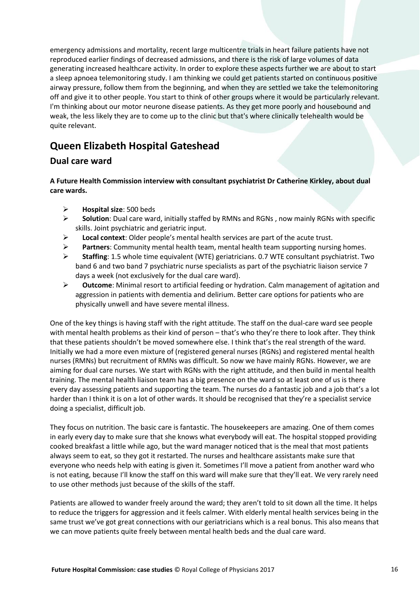emergency admissions and mortality, recent large multicentre trials in heart failure patients have not reproduced earlier findings of decreased admissions, and there is the risk of large volumes of data generating increased healthcare activity. In order to explore these aspects further we are about to start a sleep apnoea telemonitoring study. I am thinking we could get patients started on continuous positive airway pressure, follow them from the beginning, and when they are settled we take the telemonitoring off and give it to other people. You start to think of other groups where it would be particularly relevant. I'm thinking about our motor neurone disease patients. As they get more poorly and housebound and weak, the less likely they are to come up to the clinic but that's where clinically telehealth would be quite relevant.

# <span id="page-15-0"></span>**Queen Elizabeth Hospital Gateshead**

## **Dual care ward**

**A Future Health Commission interview with consultant psychiatrist Dr Catherine Kirkley, about dual care wards.**

- **Hospital size**: 500 beds
- **Solution**: Dual care ward, initially staffed by RMNs and RGNs , now mainly RGNs with specific skills. Joint psychiatric and geriatric input.
- **Local context**: Older people's mental health services are part of the acute trust.
- **Partners**: Community mental health team, mental health team supporting nursing homes.
- **Staffing**: 1.5 whole time equivalent (WTE) geriatricians. 0.7 WTE consultant psychiatrist. Two band 6 and two band 7 psychiatric nurse specialists as part of the psychiatric liaison service 7 days a week (not exclusively for the dual care ward).
- **Outcome**: Minimal resort to artificial feeding or hydration. Calm management of agitation and aggression in patients with dementia and delirium. Better care options for patients who are physically unwell and have severe mental illness.

One of the key things is having staff with the right attitude. The staff on the dual-care ward see people with mental health problems as their kind of person – that's who they're there to look after. They think that these patients shouldn't be moved somewhere else. I think that's the real strength of the ward. Initially we had a more even mixture of (registered general nurses (RGNs) and registered mental health nurses (RMNs) but recruitment of RMNs was difficult. So now we have mainly RGNs. However, we are aiming for dual care nurses. We start with RGNs with the right attitude, and then build in mental health training. The mental health liaison team has a big presence on the ward so at least one of us is there every day assessing patients and supporting the team. The nurses do a fantastic job and a job that's a lot harder than I think it is on a lot of other wards. It should be recognised that they're a specialist service doing a specialist, difficult job.

They focus on nutrition. The basic care is fantastic. The housekeepers are amazing. One of them comes in early every day to make sure that she knows what everybody will eat. The hospital stopped providing cooked breakfast a little while ago, but the ward manager noticed that is the meal that most patients always seem to eat, so they got it restarted. The nurses and healthcare assistants make sure that everyone who needs help with eating is given it. Sometimes I'll move a patient from another ward who is not eating, because I'll know the staff on this ward will make sure that they'll eat. We very rarely need to use other methods just because of the skills of the staff.

Patients are allowed to wander freely around the ward; they aren't told to sit down all the time. It helps to reduce the triggers for aggression and it feels calmer. With elderly mental health services being in the same trust we've got great connections with our geriatricians which is a real bonus. This also means that we can move patients quite freely between mental health beds and the dual care ward.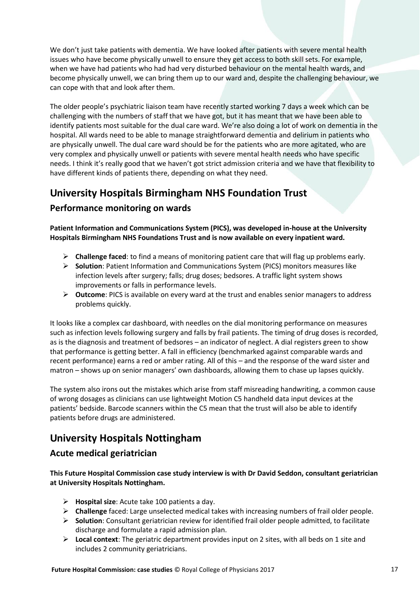We don't just take patients with dementia. We have looked after patients with severe mental health issues who have become physically unwell to ensure they get access to both skill sets. For example, when we have had patients who had had very disturbed behaviour on the mental health wards, and become physically unwell, we can bring them up to our ward and, despite the challenging behaviour, we can cope with that and look after them.

The older people's psychiatric liaison team have recently started working 7 days a week which can be challenging with the numbers of staff that we have got, but it has meant that we have been able to identify patients most suitable for the dual care ward. We're also doing a lot of work on dementia in the hospital. All wards need to be able to manage straightforward dementia and delirium in patients who are physically unwell. The dual care ward should be for the patients who are more agitated, who are very complex and physically unwell or patients with severe mental health needs who have specific needs. I think it's really good that we haven't got strict admission criteria and we have that flexibility to have different kinds of patients there, depending on what they need.

# <span id="page-16-0"></span>**University Hospitals Birmingham NHS Foundation Trust**

## **Performance monitoring on wards**

**Patient Information and Communications System (PICS), was developed in-house at the University Hospitals Birmingham NHS Foundations Trust and is now available on every inpatient ward.**

- **Challenge faced**: to find a means of monitoring patient care that will flag up problems early.
- **Solution**: Patient Information and Communications System (PICS) monitors measures like infection levels after surgery; falls; drug doses; bedsores. A traffic light system shows improvements or falls in performance levels.
- **Outcome**: PICS is available on every ward at the trust and enables senior managers to address problems quickly.

It looks like a complex car dashboard, with needles on the dial monitoring performance on measures such as infection levels following surgery and falls by frail patients. The timing of drug doses is recorded, as is the diagnosis and treatment of bedsores – an indicator of neglect. A dial registers green to show that performance is getting better. A fall in efficiency (benchmarked against comparable wards and recent performance) earns a red or amber rating. All of this – and the response of the ward sister and matron – shows up on senior managers' own dashboards, allowing them to chase up lapses quickly.

The system also irons out the mistakes which arise from staff misreading handwriting, a common cause of wrong dosages as clinicians can use lightweight Motion C5 handheld data input devices at the patients' bedside. Barcode scanners within the C5 mean that the trust will also be able to identify patients before drugs are administered.

# <span id="page-16-1"></span>**University Hospitals Nottingham**

## **Acute medical geriatrician**

**This Future Hospital Commission case study interview is with Dr David Seddon, consultant geriatrician at University Hospitals Nottingham.**

- **Hospital size**: Acute take 100 patients a day.
- **Challenge** faced: Large unselected medical takes with increasing numbers of frail older people.
- **Solution**: Consultant geriatrician review for identified frail older people admitted, to facilitate discharge and formulate a rapid admission plan.
- **Local context**: The geriatric department provides input on 2 sites, with all beds on 1 site and includes 2 community geriatricians.